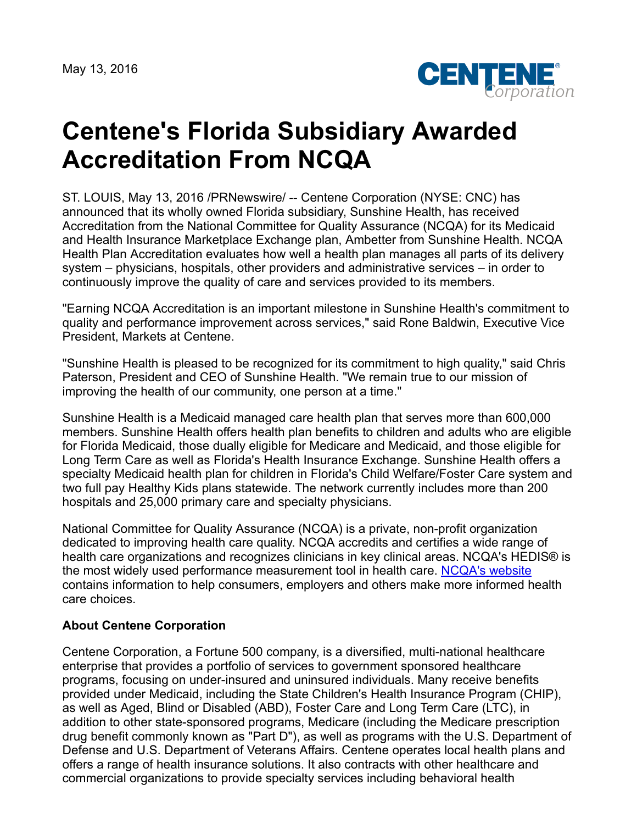May 13, 2016



## **Centene's Florida Subsidiary Awarded Accreditation From NCQA**

ST. LOUIS, May 13, 2016 /PRNewswire/ -- Centene Corporation (NYSE: CNC) has announced that its wholly owned Florida subsidiary, Sunshine Health, has received Accreditation from the National Committee for Quality Assurance (NCQA) for its Medicaid and Health Insurance Marketplace Exchange plan, Ambetter from Sunshine Health. NCQA Health Plan Accreditation evaluates how well a health plan manages all parts of its delivery system – physicians, hospitals, other providers and administrative services – in order to continuously improve the quality of care and services provided to its members.

"Earning NCQA Accreditation is an important milestone in Sunshine Health's commitment to quality and performance improvement across services," said Rone Baldwin, Executive Vice President, Markets at Centene.

"Sunshine Health is pleased to be recognized for its commitment to high quality," said Chris Paterson, President and CEO of Sunshine Health. "We remain true to our mission of improving the health of our community, one person at a time."

Sunshine Health is a Medicaid managed care health plan that serves more than 600,000 members. Sunshine Health offers health plan benefits to children and adults who are eligible for Florida Medicaid, those dually eligible for Medicare and Medicaid, and those eligible for Long Term Care as well as Florida's Health Insurance Exchange. Sunshine Health offers a specialty Medicaid health plan for children in Florida's Child Welfare/Foster Care system and two full pay Healthy Kids plans statewide. The network currently includes more than 200 hospitals and 25,000 primary care and specialty physicians.

National Committee for Quality Assurance (NCQA) is a private, non-profit organization dedicated to improving health care quality. NCQA accredits and certifies a wide range of health care organizations and recognizes clinicians in key clinical areas. NCQA's HEDIS® is the most widely used performance measurement tool in health care. [NCQA's website](http://www.ncqa.org/) contains information to help consumers, employers and others make more informed health care choices.

## **About Centene Corporation**

Centene Corporation, a Fortune 500 company, is a diversified, multi-national healthcare enterprise that provides a portfolio of services to government sponsored healthcare programs, focusing on under-insured and uninsured individuals. Many receive benefits provided under Medicaid, including the State Children's Health Insurance Program (CHIP), as well as Aged, Blind or Disabled (ABD), Foster Care and Long Term Care (LTC), in addition to other state-sponsored programs, Medicare (including the Medicare prescription drug benefit commonly known as "Part D"), as well as programs with the U.S. Department of Defense and U.S. Department of Veterans Affairs. Centene operates local health plans and offers a range of health insurance solutions. It also contracts with other healthcare and commercial organizations to provide specialty services including behavioral health